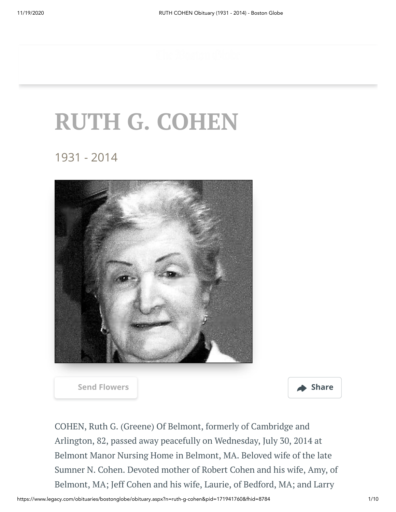## **RUTH G. COHEN**

1931 - 2014



**[Send Flowers](https://sympathy.legacy.com/en-us/funeral-flowers/name/ruth-cohen-funeral-flowers/p171941760/?affiliateId=1232&pm=205) Share** 



COHEN, Ruth G. (Greene) Of Belmont, formerly of Cambridge and Arlington, 82, passed away peacefully on Wednesday, July 30, 2014 at Belmont Manor Nursing Home in Belmont, MA. Beloved wife of the late Sumner N. Cohen. Devoted mother of Robert Cohen and his wife, Amy, of Belmont, MA; Jeff Cohen and his wife, Laurie, of Bedford, MA; and Larry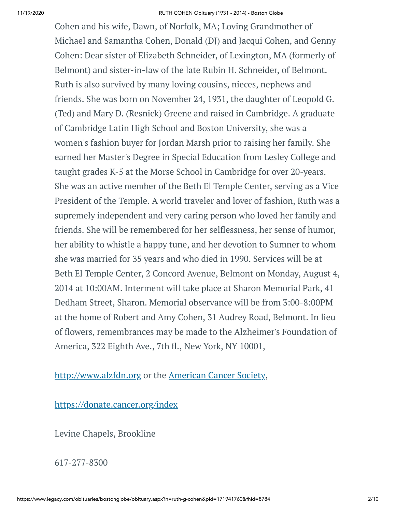Cohen and his wife, Dawn, of Norfolk, MA; Loving Grandmother of Michael and Samantha Cohen, Donald (DJ) and Jacqui Cohen, and Genny Cohen: Dear sister of Elizabeth Schneider, of Lexington, MA (formerly of Belmont) and sister-in-law of the late Rubin H. Schneider, of Belmont. Ruth is also survived by many loving cousins, nieces, nephews and friends. She was born on November 24, 1931, the daughter of Leopold G. (Ted) and Mary D. (Resnick) Greene and raised in Cambridge. A graduate of Cambridge Latin High School and Boston University, she was a women's fashion buyer for Jordan Marsh prior to raising her family. She earned her Master's Degree in Special Education from Lesley College and taught grades K-5 at the Morse School in Cambridge for over 20-years. She was an active member of the Beth El Temple Center, serving as a Vice President of the Temple. A world traveler and lover of fashion, Ruth was a supremely independent and very caring person who loved her family and friends. She will be remembered for her selflessness, her sense of humor, her ability to whistle a happy tune, and her devotion to Sumner to whom she was married for 35 years and who died in 1990. Services will be at Beth El Temple Center, 2 Concord Avenue, Belmont on Monday, August 4, 2014 at 10:00AM. Interment will take place at Sharon Memorial Park, 41 Dedham Street, Sharon. Memorial observance will be from 3:00-8:00PM at the home of Robert and Amy Cohen, 31 Audrey Road, Belmont. In lieu of flowers, remembrances may be made to the Alzheimer's Foundation of America, 322 Eighth Ave., 7th fl., New York, NY 10001,

[http://www.alzfdn.org](http://www.alzfdn.org/) or the [American](https://donate3.cancer.org/?campaign=legacy2&giftFirstName=RUTH&giftLastName=COHEN&giftType=mem) Cancer Society,

<https://donate.cancer.org/index>

Levine Chapels, Brookline

617-277-8300